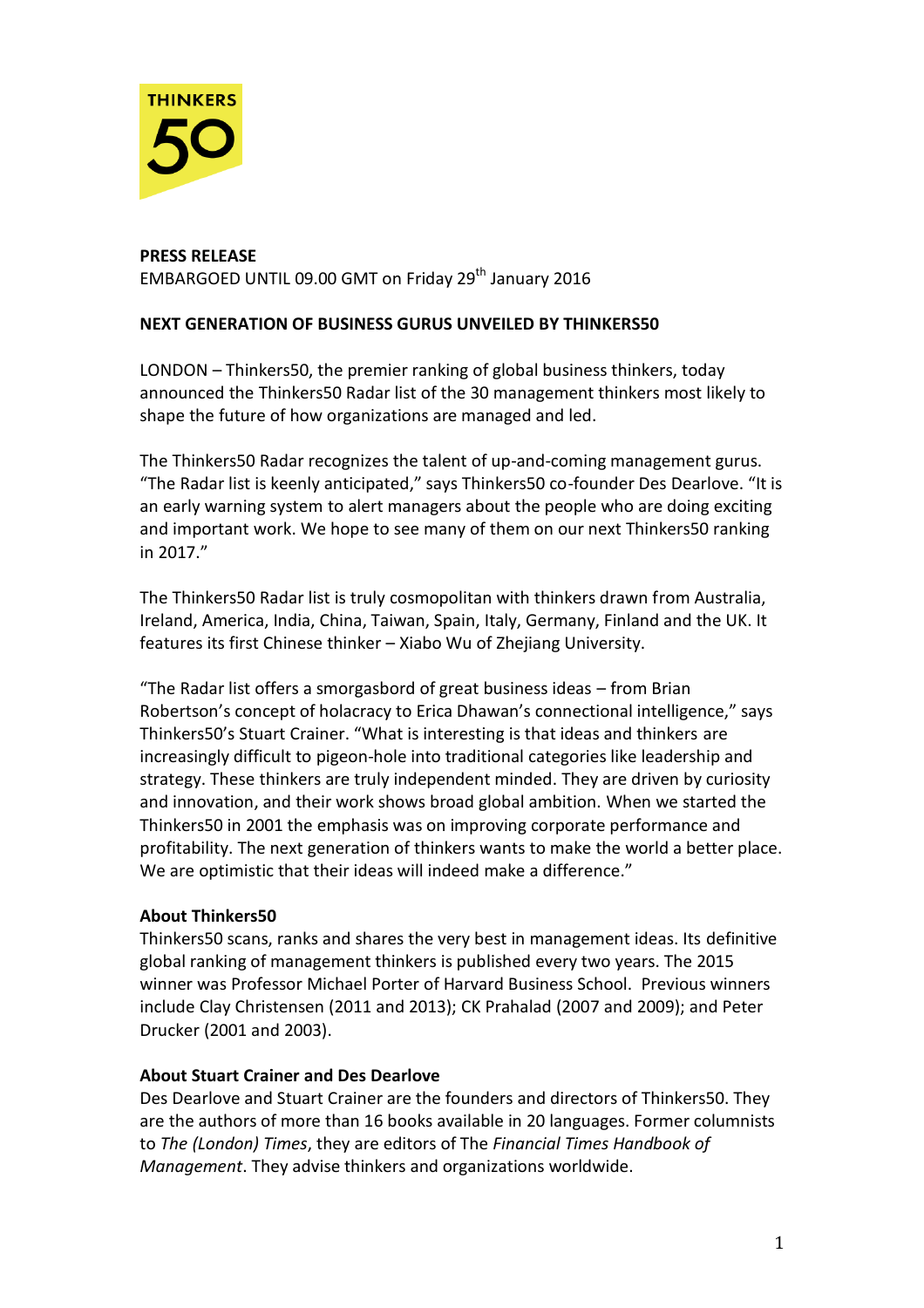

## **PRESS RELEASE**  EMBARGOED UNTIL 09.00 GMT on Friday 29<sup>th</sup> January 2016

## **NEXT GENERATION OF BUSINESS GURUS UNVEILED BY THINKERS50**

LONDON – Thinkers50, the premier ranking of global business thinkers, today announced the Thinkers50 Radar list of the 30 management thinkers most likely to shape the future of how organizations are managed and led.

The Thinkers50 Radar recognizes the talent of up-and-coming management gurus. "The Radar list is keenly anticipated," says Thinkers50 co-founder Des Dearlove. "It is an early warning system to alert managers about the people who are doing exciting and important work. We hope to see many of them on our next Thinkers50 ranking in 2017."

The Thinkers50 Radar list is truly cosmopolitan with thinkers drawn from Australia, Ireland, America, India, China, Taiwan, Spain, Italy, Germany, Finland and the UK. It features its first Chinese thinker – Xiabo Wu of Zhejiang University.

"The Radar list offers a smorgasbord of great business ideas – from Brian Robertson's concept of holacracy to Erica Dhawan's connectional intelligence," says Thinkers50's Stuart Crainer. "What is interesting is that ideas and thinkers are increasingly difficult to pigeon-hole into traditional categories like leadership and strategy. These thinkers are truly independent minded. They are driven by curiosity and innovation, and their work shows broad global ambition. When we started the Thinkers50 in 2001 the emphasis was on improving corporate performance and profitability. The next generation of thinkers wants to make the world a better place. We are optimistic that their ideas will indeed make a difference."

## **About Thinkers50**

Thinkers50 scans, ranks and shares the very best in management ideas. Its definitive global ranking of management thinkers is published every two years. The 2015 winner was Professor Michael Porter of Harvard Business School. Previous winners include Clay Christensen (2011 and 2013); CK Prahalad (2007 and 2009); and Peter Drucker (2001 and 2003).

## **About Stuart Crainer and Des Dearlove**

Des Dearlove and Stuart Crainer are the founders and directors of Thinkers50. They are the authors of more than 16 books available in 20 languages. Former columnists to *The (London) Times*, they are editors of The *Financial Times Handbook of Management*. They advise thinkers and organizations worldwide.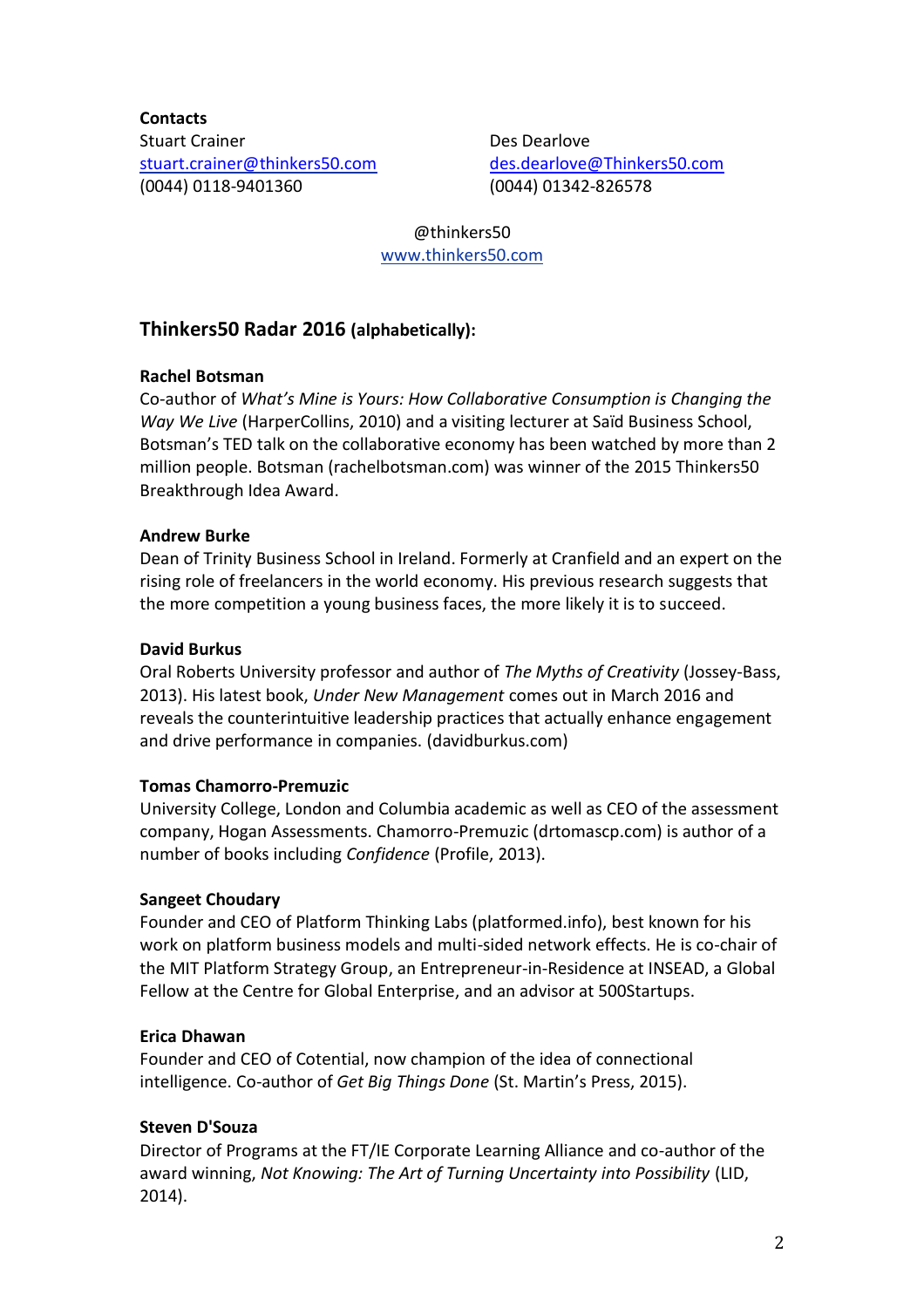**Contacts** Stuart Crainer [stuart.crainer@thinkers50.com](mailto:stuart.crainer@thinkers50.com) (0044) 0118-9401360

Des Dearlove [des.dearlove@Thinkers50.com](mailto:des.dearlove@Thinkers50.com) (0044) 01342-826578

@thinkers50 [www.thinkers50.com](http://www.thinkers50.com/)

# **Thinkers50 Radar 2016 (alphabetically):**

## **Rachel Botsman**

Co-author of *What's Mine is Yours: How Collaborative Consumption is Changing the Way We Live* (HarperCollins, 2010) and a visiting lecturer at Saïd Business School, Botsman's TED talk on the collaborative economy has been watched by more than 2 million people. Botsman (rachelbotsman.com) was winner of the 2015 Thinkers50 Breakthrough Idea Award.

### **Andrew Burke**

Dean of Trinity Business School in Ireland. Formerly at Cranfield and an expert on the rising role of freelancers in the world economy. His previous research suggests that the more competition a young business faces, the more likely it is to succeed.

### **David Burkus**

Oral Roberts University professor and author of *The Myths of Creativity* (Jossey-Bass, 2013). His latest book, *Under New Management* comes out in March 2016 and reveals the counterintuitive leadership practices that actually enhance engagement and drive performance in companies. (davidburkus.com)

## **Tomas Chamorro-Premuzic**

University College, London and Columbia academic as well as CEO of the assessment company, Hogan Assessments. Chamorro-Premuzic (drtomascp.com) is author of a number of books including *Confidence* (Profile, 2013).

#### **Sangeet Choudary**

Founder and CEO of Platform Thinking Labs (platformed.info), best known for his work on platform business models and multi-sided network effects. He is co-chair of the [MIT Platform Strategy Group,](http://platforms.mit.edu/) an Entrepreneur-in-Residence at INSEAD, a Global Fellow at [the Centre for Global Enterprise,](http://thecge.net/about/our-leadership/) and an advisor at 500Startups.

#### **Erica Dhawan**

Founder and CEO of Cotential, now champion of the idea of connectional intelligence. Co-author of *Get Big Things Done* (St. Martin's Press, 2015).

#### **Steven D'Souza**

Director of Programs at the FT/IE Corporate Learning Alliance and co-author of the award winning, *Not Knowing: The Art of Turning Uncertainty into Possibility* (LID, 2014).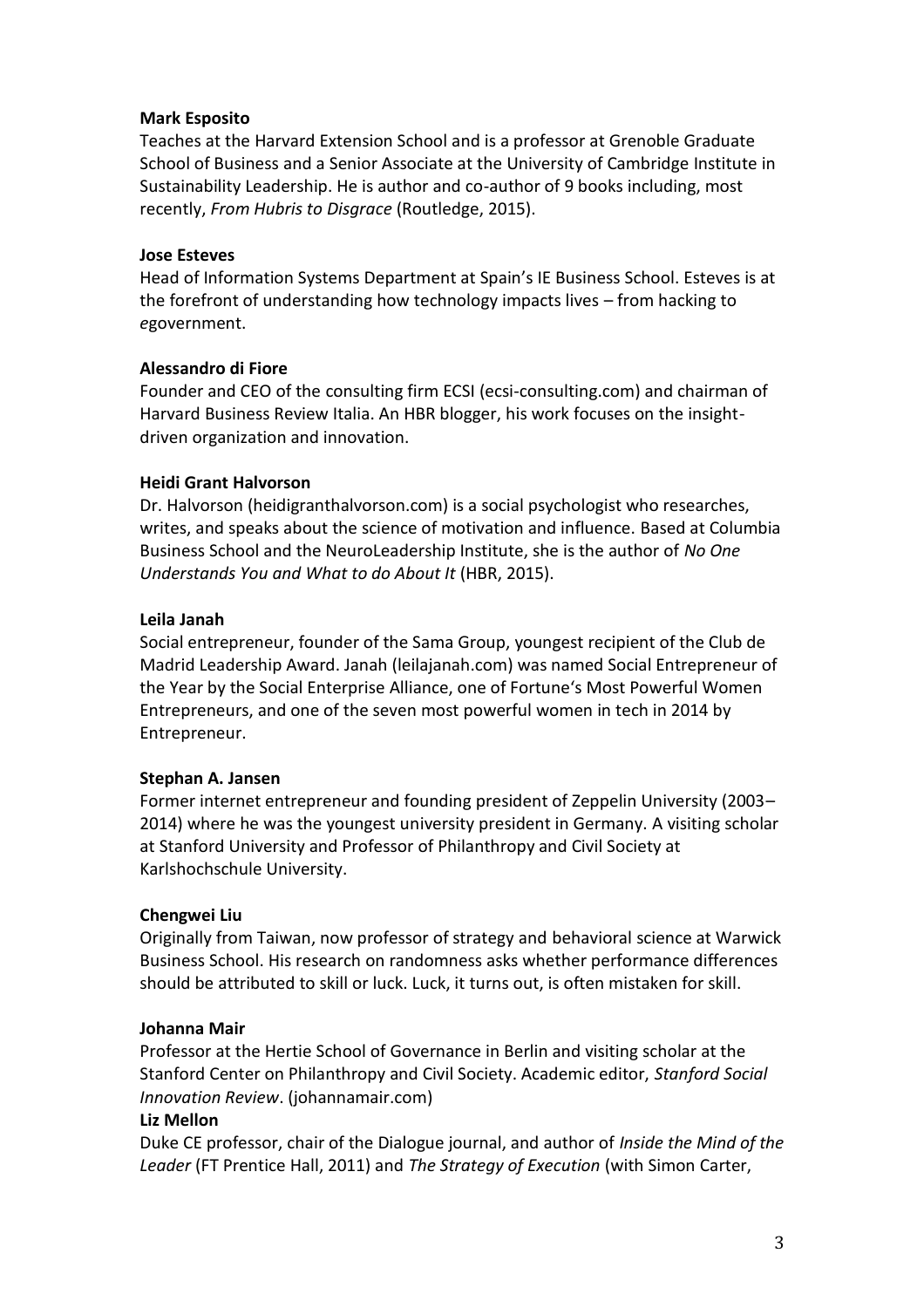#### **Mark Esposito**

Teaches at the [Harvard Extension School](http://www.extension.harvard.edu/faculty-directory/mark-esposito) and is a professor at [Grenoble Graduate](http://www.grenoble-em.com/)  [School of Business](http://www.grenoble-em.com/) and a Senior Associate at the [University of Cambridge](http://www.cpsl.cam.ac.uk/About-Us/Senior-Associates.aspx) Institute in Sustainability Leadership. He is author and co-author of 9 [books](http://www.amazon.com/Mark-Esposito/e/B002NHEODC) including, most recently, *[From Hubris to Disgrace](http://routledge-ny.com/books/details/9780415859011/)* (Routledge, 2015).

#### **Jose Esteves**

Head of Information Systems Department at Spain's IE Business School. Esteves is at the forefront of understanding how technology impacts lives – from hacking to *e*government.

## **Alessandro di Fiore**

Founder and CEO of the consulting firm ECSI (ecsi-consulting.com) and chairman of Harvard Business Review Italia. An HBR blogger, his work focuses on the insightdriven organization and innovation.

## **Heidi Grant Halvorson**

Dr. Halvorson (heidigranthalvorson.com) is a social psychologist who researches, writes, and speaks about the science of motivation and influence. Based at Columbia Business School and the NeuroLeadership Institute, she is the author of *No One Understands You and What to do About It* (HBR, 2015).

### **Leila Janah**

Social entrepreneur, founder of the Sama Group, youngest recipient of the Club de Madrid Leadership Award. Janah (leilajanah.com) was named Social Entrepreneur of the Year by the Social Enterprise Alliance, one of Fortune's Most Powerful Women Entrepreneurs, and one of the seven most powerful women in tech in 2014 by Entrepreneur.

## **Stephan A. Jansen**

Former internet entrepreneur and founding president of Zeppelin University (2003– 2014) where he was the youngest university president in Germany. A visiting scholar at Stanford University and Professor of Philanthropy and Civil Society at Karlshochschule University.

#### **Chengwei Liu**

Originally from Taiwan, now professor of strategy and behavioral science at Warwick Business School. His research on randomness asks whether performance differences should be attributed to skill or luck. Luck, it turns out, is often mistaken for skill.

#### **Johanna Mair**

Professor at the Hertie School of Governance in Berlin and visiting scholar at the Stanford Center on Philanthropy and Civil Society. Academic editor, *Stanford Social Innovation Review*. (johannamair.com)

#### **Liz Mellon**

Duke CE professor, chair of the Dialogue journal, and author of *Inside the Mind of the Leader* (FT Prentice Hall, 2011) and *The Strategy of Execution* (with Simon Carter,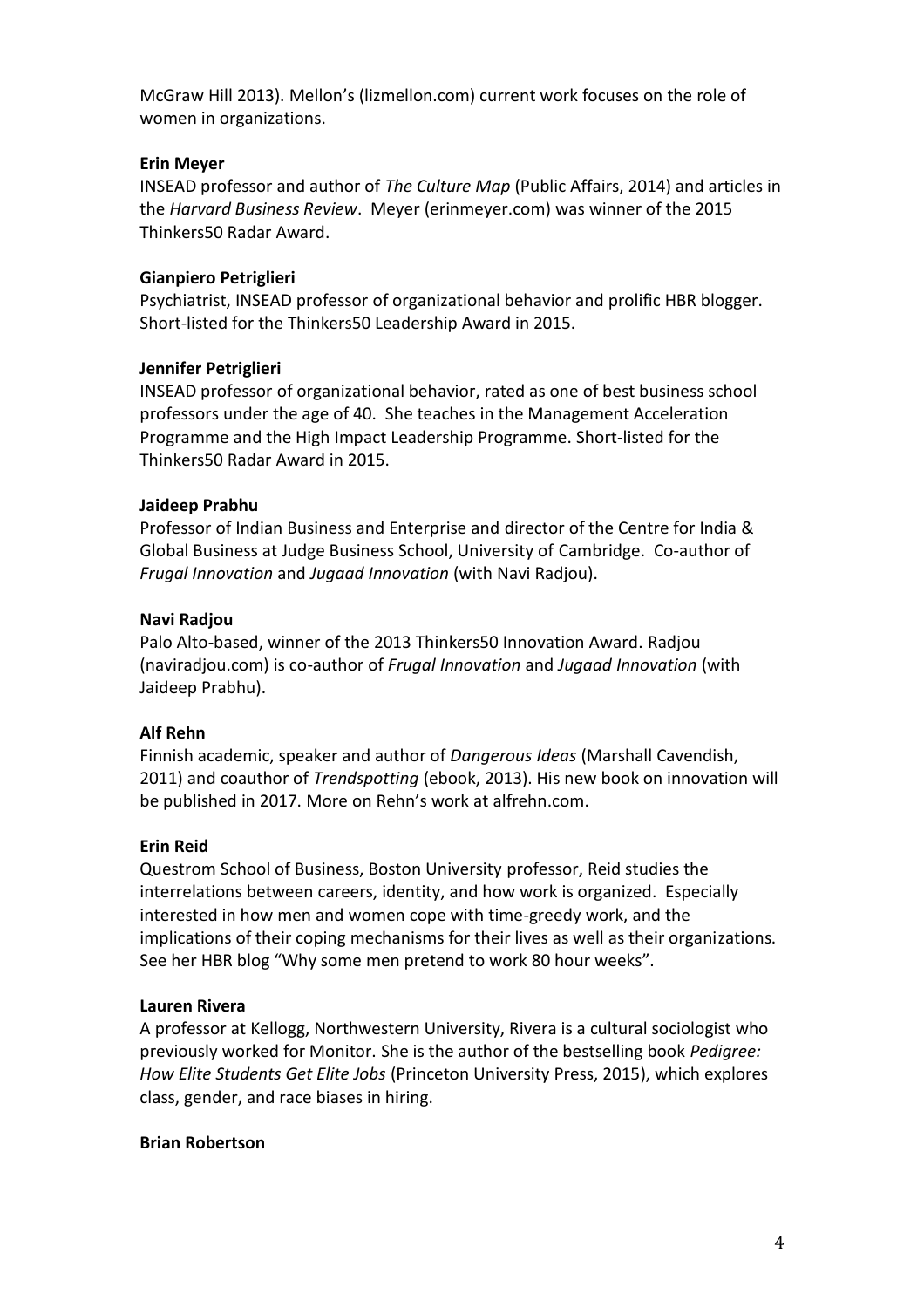McGraw Hill 2013). Mellon's (lizmellon.com) current work focuses on the role of women in organizations.

### **Erin Meyer**

INSEAD professor and author of *The Culture Map* (Public Affairs, 2014) and articles in the *Harvard Business Review*. Meyer (erinmeyer.com) was winner of the 2015 Thinkers50 Radar Award.

### **Gianpiero Petriglieri**

Psychiatrist, INSEAD professor of organizational behavior and prolific HBR blogger. Short-listed for the Thinkers50 Leadership Award in 2015.

### **Jennifer Petriglieri**

INSEAD professor of organizational behavior, rated as one of best business school professors under the age of 40. She teaches in the Management Acceleration Programme and the High Impact Leadership Programme. Short-listed for the Thinkers50 Radar Award in 2015.

### **Jaideep Prabhu**

Professor of Indian Business and Enterprise and director of the Centre for India & Global Business at Judge Business School, University of Cambridge. Co-author of *Frugal Innovation* and *Jugaad Innovation* (with Navi Radjou).

### **Navi Radjou**

Palo Alto-based, winner of the 2013 Thinkers50 Innovation Award. Radjou (naviradjou.com) is co-author of *Frugal Innovation* and *Jugaad Innovation* (with Jaideep Prabhu).

## **Alf Rehn**

Finnish academic, speaker and author of *Dangerous Ideas* (Marshall Cavendish, 2011) and coauthor of *Trendspotting* (ebook, 2013). His new book on innovation will be published in 2017. More on Rehn's work at alfrehn.com.

## **Erin Reid**

Questrom School of Business, Boston University professor, Reid studies the interrelations between careers, identity, and how work is organized. Especially interested in how men and women cope with time-greedy work, and the implications of their coping mechanisms for their lives as well as their organizations. See her HBR blog "Why some men pretend to work 80 hour weeks".

#### **Lauren Rivera**

A professor at Kellogg, Northwestern University, Rivera is a cultural sociologist who previously worked for Monitor. She is the author of the bestselling book *Pedigree: How Elite Students Get Elite Jobs* (Princeton University Press, 2015), which explores class, gender, and race biases in hiring.

#### **Brian Robertson**